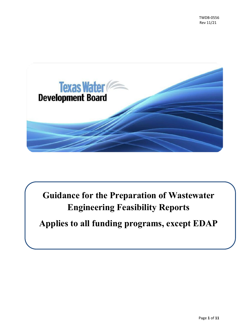

**Guidance for the Preparation of Wastewater Engineering Feasibility Reports**

**Applies to all funding programs, except EDAP**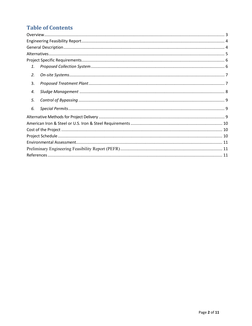### **Table of Contents**

| 1. |  |
|----|--|
| 2. |  |
| 3. |  |
| 4. |  |
| 5. |  |
| 6. |  |
|    |  |
|    |  |
|    |  |
|    |  |
|    |  |
|    |  |
|    |  |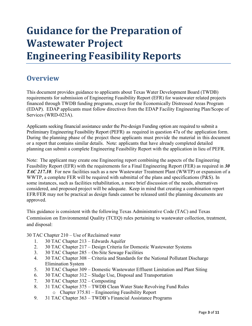# **Guidance for the Preparation of Wastewater Project Engineering Feasibility Reports**

### <span id="page-2-0"></span>**Overview**

This document provides guidance to applicants about Texas Water Development Board (TWDB) requirements for submission of Engineering Feasibility Report (EFR) for wastewater related projects financed through TWDB funding programs, except for the Economically Distressed Areas Program (EDAP). EDAP applicants must follow directives from the EDAP Facility Engineering Plan/Scope of Services (WRD-023A).

Applicants seeking financial assistance under the Pre-design Funding option are required to submit a Preliminary Engineering Feasibility Report (PEFR) as required in question 47a of the application form. During the planning phase of the project these applicants must provide the material in this document or a report that contains similar details. Note: applicants that have already completed detailed planning can submit a complete Engineering Feasibility Report with the application in lieu of PEFR.

Note: The applicant may create one Engineering report combining the aspects of the Engineering Feasibility Report (EFR) with the requirements for a Final Engineering Report (FER) as required in *30 TAC 217.10*. For new facilities such as a new Wastewater Treatment Plant (WWTP) or expansion of a WWTP, a complete FER will be required with submittal of the plans and specifications (P&S). In some instances, such as facilities rehabilitation, a more brief discussion of the needs, alternatives considered, and proposed project will be adequate. Keep in mind that creating a combination report EFR/FER may not be practical as design funds cannot be released until the planning documents are approved.

This guidance is consistent with the following Texas Administrative Code (TAC) and Texas Commission on Environmental Quality (TCEQ) rules pertaining to wastewater collection, treatment, and disposal:

30 TAC Chapter 210 – Use of Reclaimed water

- 1. 30 TAC Chapter 213 Edwards Aquifer
- 2. 30 TAC Chapter 217 Design Criteria for Domestic Wastewater Systems
- 3. 30 TAC Chapter 285 On-Site Sewage Facilities
- 4. 30 TAC Chapter 308 Criteria and Standards for the National Pollutant Discharge Elimination System
- 5. 30 TAC Chapter 309 Domestic Wastewater Effluent Limitation and Plant Siting
- 6. 30 TAC Chapter 312 Sludge Use, Disposal and Transportation
- 7. 30 TAC Chapter 332 Composting
- 8. 31 TAC Chapter 375 TWDB Clean Water State Revolving Fund Rules o Chapter 375.81 – Engineering Feasibility Report
- 9. 31 TAC Chapter 363 TWDB's Financial Assistance Programs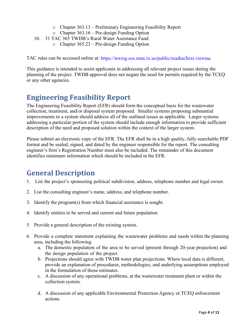- o Chapter 363.13 Preliminary Engineering Feasibility Report
- o Chapter 363.16 Pre-design Funding Option
- 10. 31 TAC 365 TWDB's Rural Water Assistance Fund
	- o Chapter 365.23 Pre-design Funding Option

TAC rules can be accessed online at: [https://texreg.sos.state.tx.us/public/readtac\\$ext.viewtac](https://texreg.sos.state.tx.us/public/readtac$ext.viewtac)

This guidance is intended to assist applicants in addressing all relevant project issues during the planning of the project. TWDB approval does not negate the need for permits required by the TCEQ or any other agencies.

# <span id="page-3-0"></span>**Engineering Feasibility Report**

The Engineering Feasibility Report (EFR) should form the conceptual basis for the wastewater collection, treatment, and/or disposal system proposed. Smaller systems proposing substantial improvements to a system should address all of the outlined issues as applicable. Larger systems addressing a particular portion of the system should include enough information to provide sufficient description of the need and proposed solution within the context of the larger system.

Please submit an electronic copy of the EFR. The EFR shall be in a high quality, fully searchable PDF format and be sealed, signed, and dated by the engineer responsible for the report. The consulting engineer's firm's Registration Number must also be included. The remainder of this document identifies minimum information which should be included in the EFR.

# <span id="page-3-1"></span>**General Description**

- 1. List the project's sponsoring political subdivision, address, telephone number and legal owner.
- 2. List the consulting engineer's name, address, and telephone number.
- 3. Identify the program(s) from which financial assistance is sought.
- 4. Identify entities to be served and current and future population
- 5. Provide a general description of the existing system.
- 6. Provide a complete statement explaining the wastewater problems and needs within the planning area, including the following:
	- a. The domestic population of the area to be served (present through 20-year projection) and the design population of the project.
	- b. Projections should agree with TWDB water plan projections. Where local data is different, provide an explanation of procedures, methodologies, and underlying assumptions employed in the formulation of those estimates.
	- c. A discussion of any operational problems, at the wastewater treatment plant or within the collection system.
	- d. A discussion of any applicable Environmental Protection Agency or TCEQ enforcement actions.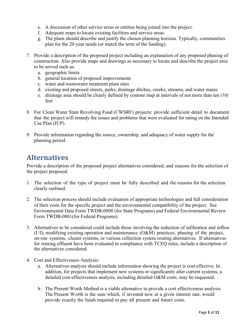- e. A discussion of other service areas or entities being joined into the project.
- f. Adequate maps to locate existing facilities and service areas.
- g. The plans should describe and justify the chosen planning horizon. Typically, communities plan for the 20-year needs (or match the term of the funding).
- 7. Provide a description of the proposed project including an explanation of any proposed phasing of construction. Also provide maps and drawings as necessary to locate and describe the project area to be served such as:
	- a. geographic limits
	- b. general location of proposed improvements
	- c. water and wastewater treatment plant sites
	- d. existing and proposed streets, parks, drainage ditches, creeks, streams, and water mains
	- e. drainage area should be clearly defined by contour map at intervals of not more than ten *(10)* feet
- 8. For Clean Water State Revolving Fund (CWSRF) projects: provide sufficient detail to document that the project will remedy the issues and problems that were evaluated for rating on the Intended Use Plan (IUP).
- 9. Provide information regarding the source, ownership, and adequacy of water supply for the planning period.

### <span id="page-4-0"></span>**Alternatives**

Provide a description of the proposed project alternatives considered, and reasons for the selection of the project proposed.

- 1. The selection of the type of project must be fully described and the reasons for the selection clearly outlined.
- 2. The selection process should include evaluation of appropriate technologies and full consideration of their costs for the specific project and the environmental compatibility of the project. See Environmental Data Form TWDB-0800 (for State Programs) and Federal Environmental Review Form TWDB-0801(for Federal Programs).
- 3. Alternatives to be considered could include those involving the reduction of infiltration and inflow (I /I), modifying existing operation and maintenance (O&M) practices, phasing of the project, on-site systems, cluster systems, or various collection system routing alternatives. If alternatives for reusing effluent have been evaluated in compliance with TCEQ rules, include a description of the alternatives considered.
- 4. Cost and Effectiveness Analysis:
	- a. Alternatives analysis should include information showing the project is cost effective. In addition, for projects that implement new systems or significantly alter current systems, a detailed cost-effectiveness analysis, including detailed O&M costs, may be requested.
	- b. The Present Worth Method is a viable alternative to provide a cost effectiveness analysis. The Present Worth is the sum which, if invested now at a given interest rate, would provide exactly the funds required to pay all present and future costs.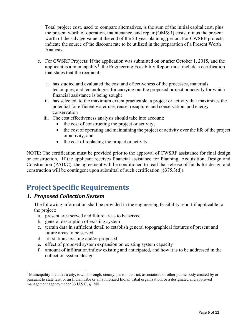Total project cost, used to compare alternatives, is the sum of the initial capital cost, plus the present worth of operation, maintenance, and repair (OM&R) costs, minus the present worth of the salvage value at the end of the 20-year planning period. For CWSRF projects, indicate the source of the discount rate to be utilized in the preparation of a Present Worth Analysis.

- c. For CWSRF Projects: If the application was submitted on or after October 1, 2015, and the applicant is a municipality<sup>[1](#page-5-2)</sup>, the Engineering Feasibility Report must include a certification that states that the recipient:
	- i. has studied and evaluated the cost and effectiveness of the processes, materials techniques, and technologies for carrying out the proposed project or activity for which financial assistance is being sought
	- ii. has selected, to the maximum extent practicable, a project or activity that maximizes the potential for efficient water use, reuse, recapture, and conservation, and energy conservation
	- iii. The cost effectiveness analysis should take into account:
		- the cost of constructing the project or activity,
		- the cost of operating and maintaining the project or activity over the life of the project or activity, and
		- the cost of replacing the project or activity.

NOTE: The certification must be provided prior to the approval of CWSRF assistance for final design or construction. If the applicant receives financial assistance for Planning, Acquisition, Design and Construction (PAD/C), the agreement will be conditioned to read that release of funds for design and construction will be contingent upon submittal of such certification (§375.3(d)).

# <span id="page-5-0"></span>**Project Specific Requirements**

#### <span id="page-5-1"></span>*1. Proposed Collection System*

The following information shall be provided in the engineering feasibility report if applicable to the project:

- a. present area served and future areas to be served
- b. general description of existing system
- c. terrain data in sufficient detail to establish general topographical features of present and future areas to be served
- d. lift stations existing and/or proposed
- e. effect of proposed system expansion on existing system capacity
- f. amount of infiltration/inflow existing and anticipated, and how it is to be addressed in the collection system design

<span id="page-5-2"></span><sup>&</sup>lt;sup>1</sup> Municipality includes a city, town, borough, county, parish, district, association, or other public body created by or pursuant to state law, or an Indian tribe or an authorized Indian tribal organization, or a designated and approved management agency under 33 U.S.C. §1288.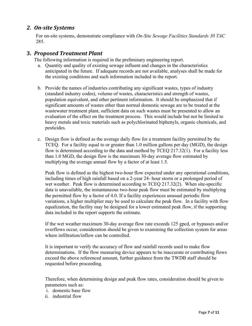#### <span id="page-6-0"></span>*2. On-site Systems*

For on-site systems, demonstrate compliance with *On-Site Sewage Facilities Standards 30 TAC*  285.

#### <span id="page-6-1"></span>**3.** *Proposed Treatment Plant*

The following information is required in the preliminary engineering report.

- a. Quantity and quality of existing sewage influent and changes in the characteristics anticipated in the future. If adequate records are not available, analyses shall be made for the existing conditions and such information included in the report.
- b. Provide the names of industries contributing any significant wastes, types of industry (standard industry codes), volume of wastes, characteristics and strength of wastes, population equivalent, and other pertinent information. It should be emphasized that if significant amounts of wastes other than normal domestic sewage are to be treated at the wastewater treatment plant, sufficient data on such wastes must be presented to allow an evaluation of the effect on the treatment process. This would include but not be limited to heavy metals and toxic materials such as polychlorinated biphenyls, organic chemicals, and pesticides.
- c. Design flow is defined as the average daily flow for a treatment facility permitted by the TCEQ. For a facility equal to or greater than 1.0 million gallons per day (MGD), the design flow is determined according to the data and method by TCEQ 217.32(1). For a facility less than 1.0 MGD, the design flow is the maximum 30-day average flow estimated by multiplying the average annual flow by a factor of at least 1.5.

Peak flow is defined as the highest two-hour flow expected under any operational conditions, including times of high rainfall based on a 2-year 24- hour storm or a prolonged period of wet weather. Peak flow is determined according to TCEQ 217.32(2). When site-specific data is unavailable, the instantaneous two-hour peak flow must be estimated by multiplying the permitted flow by a factor of 4.0. If a facility experiences unusual periodic flow variations, a higher multiplier may be used to calculate the peak flow. In a facility with flow equalization, the facility may be designed for a lower estimated peak flow, if the supporting data included in the report supports the estimate.

If the wet weather maximum 30-day average flow rate exceeds 125 gpcd, or bypasses and/or overflows occur, consideration should be given to examining the collection system for areas where infiltration/inflow can be controlled.

It is important to verify the accuracy of flow and rainfall records used to make flow determinations. If the flow measuring device appears to be inaccurate or contributing flows exceed the above referenced amount, further guidance from the TWDB staff should be requested before proceeding.

Therefore, when determining design and peak flow rates, consideration should be given to parameters such as:

- i. domestic base flow
- ii. industrial flow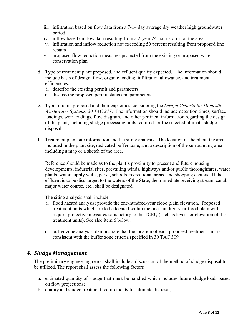- iii. infiltration based on flow data from a 7-14 day average dry weather high groundwater period
- iv. inflow based on flow data resulting from a 2-year 24-hour storm for the area
- v. infiltration and inflow reduction not exceeding 50 percent resulting from proposed line repairs
- vi. proposed flow reduction measures projected from the existing or proposed water conservation plan
- d. Type of treatment plant proposed, and effluent quality expected. The information should include basis of design, flow, organic loading, infiltration allowance, and treatment efficiencies.
	- i. describe the existing permit and parameters
	- ii. discuss the proposed permit status and parameters
- e. Type of units proposed and their capacities, considering the *Design Criteria for Domestic Wastewater Systems, 30 TAC 217*. The information should include detention times, surface loadings, weir loadings, flow diagram, and other pertinent information regarding the design of the plant, including sludge processing units required for the selected ultimate sludge disposal.
- f. Treatment plant site information and the siting analysis. The location of the plant, the area included in the plant site, dedicated buffer zone, and a description of the surrounding area including a map or a sketch of the area.

Reference should be made as to the plant's proximity to present and future housing developments, industrial sites, prevailing winds, highways and/or public thoroughfares, water plants, water supply wells, parks, schools, recreational areas, and shopping centers. If the effluent is to be discharged to the waters of the State, the immediate receiving stream, canal, major water course, etc., shall be designated.

The siting analysis shall include:

- i. flood hazard analysis; provide the one-hundred-year flood plain elevation. Proposed treatment units which are to be located within the one-hundred-year flood plain will require protective measures satisfactory to the TCEQ (such as levees or elevation of the treatment units). See also item 6 below.
- ii. buffer zone analysis; demonstrate that the location of each proposed treatment unit is consistent with the buffer zone criteria specified in 30 TAC 309

#### <span id="page-7-0"></span>*4. Sludge Management*

The preliminary engineering report shall include a discussion of the method of sludge disposal to be utilized. The report shall assess the following factors

- a. estimated quantity of sludge that must be handled which includes future sludge loads based on flow projections;
- b. quality and sludge treatment requirements for ultimate disposal;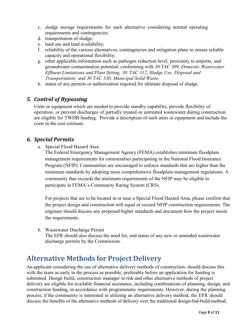- c. sludge storage requirements for each alternative considering normal operating requirements and contingencies;
- d. transportation of sludge;
- e. land use and land availability;
- f. reliability of the various alternatives, contingencies and mitigation plans to ensure reliable capacity and operational flexibility;
- g. other applicable information such as pathogen reduction level, proximity to airports, and groundwater contamination potential; conforming with *30 TAC 309, Domestic Wastewater Effluent Limitations and Plant Sitting; 30 TAC 312, Sludge Use, Disposal and Transportation; and 30 TAC 330, Municipal Solid Waste;*
- h. status of any permits or authorization required for ultimate disposal of sludge.

#### <span id="page-8-0"></span>*5. Control of Bypassing*

Units or equipment which are needed to provide standby capability, provide flexibility of operation, or prevent discharges of partially treated or untreated wastewater during construction are eligible for TWDB funding. Provide a description of such units or equipment and include the costs in the cost estimate.

#### <span id="page-8-1"></span>*6. Special Permits*

a. Special Flood Hazard Area

The Federal Emergency Management Agency (FEMA) establishes minimum floodplain management requirements for communities participating in the National Flood Insurance Program (NFIP). Communities are encouraged to enforce standards that are higher than the minimum standards by adopting more comprehensive floodplain management regulations. A community that exceeds the minimum requirements of the NFIP may be eligible to participate in FEMA's Community Rating System (CRS).

For projects that are to be located in or near a Special Flood Hazard Area, please confirm that the project design and construction will equal or exceed NFIP construction requirements. The engineer should discuss any proposed higher standards and document how the project meets the requirements.

b. Wastewater Discharge Permit The EFR should also discuss the need for, and status of any new or amended wastewater discharge permits by the Commission.

### <span id="page-8-2"></span>**Alternative Methods for Project Delivery**

An applicant considering the use of alternative delivery methods of construction, should discuss this with the team as early in the process as possible, preferably before an application for funding is submitted. Design build, construction manager at risk and other alternative methods of project delivery are eligible for available financial assistance, including combinations of planning, design, and construction funding, in accordance with programmatic requirements. However, during the planning process, if the community is interested in utilizing an alternative delivery method, the EFR should discuss the benefits of the alternative methods of delivery over the traditional design-bid-build method,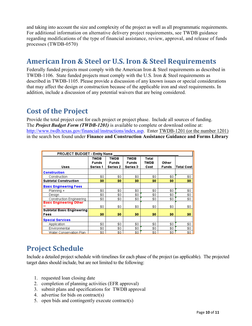and taking into account the size and complexity of the project as well as all programmatic requirements. For additional information on alternative delivery project requirements, see TWDB guidance regarding modifications of the type of financial assistance, review, approval, and release of funds processes (TWDB-0570)

# <span id="page-9-0"></span>**American Iron & Steel or U.S. Iron & Steel Requirements**

Federally funded projects must comply with the American Iron & Steel requirements as described in TWDB-1106. State funded projects must comply with the U.S. Iron & Steel requirements as described in TWDB-1105. Please provide a discussion of any known issues or special considerations that may affect the design or construction because of the applicable iron and steel requirements. In addition, include a discussion of any potential waivers that are being considered.

# <span id="page-9-1"></span>**Cost of the Project**

Provide the total project cost for each project or project phase. Include all sources of funding. The *Project Budget Form (TWDB-1201)* is available to complete or download online at: [http://www.twdb.texas.gov/financial/instructions/index.asp.](http://www.twdb.texas.gov/financial/instructions/index.asp) Enter TWDB-1201 (or the number 1201) in the search box found under **Finance and Construction Assistance Guidance and Forms Library**

| <b>PROJECT BUDGET - Entity Name</b>     |                                                |                                         |                                                |                       |                       |             |  |  |
|-----------------------------------------|------------------------------------------------|-----------------------------------------|------------------------------------------------|-----------------------|-----------------------|-------------|--|--|
| <b>Uses</b>                             | <b>TWDB</b><br><b>Funds</b><br><b>Series 1</b> | <b>TWDB</b><br><b>Funds</b><br>Series 2 | <b>TWDB</b><br><b>Funds</b><br><b>Series 3</b> | Total<br>TWDB<br>Cost | Other<br><b>Funds</b> | Total Costi |  |  |
| <b>Construction</b>                     |                                                |                                         |                                                |                       |                       |             |  |  |
| Construction                            | \$0                                            | \$0                                     | \$0                                            | \$0                   | \$0                   | \$0         |  |  |
| <b>Subtotal Construction</b>            | \$0                                            | \$0                                     | \$0                                            | \$0                   | \$0                   | \$0         |  |  |
| <b>Basic Engineering Fees</b>           |                                                |                                         |                                                |                       |                       |             |  |  |
| Planning +                              | \$0                                            | \$0                                     | \$0                                            | \$0                   | \$0                   | \$0         |  |  |
| Design                                  | \$0                                            | \$0                                     | \$0                                            | \$0                   | \$0                   | \$0         |  |  |
| Construction Engineering                | \$0                                            | \$0                                     | \$0                                            | \$0                   | \$0                   | \$0         |  |  |
| <b>Basic Engineering Other</b><br>$+ +$ | \$0                                            | \$0                                     | \$0                                            | \$0                   | \$0                   | \$0         |  |  |
| <b>Subtotal Basic Engineering</b>       |                                                |                                         |                                                |                       |                       |             |  |  |
| Fees                                    | \$0                                            | \$0                                     | \$0                                            | \$0                   | \$0                   | \$0         |  |  |
| <b>Special Services</b>                 |                                                |                                         |                                                |                       |                       |             |  |  |
| Application                             | \$0                                            | \$0                                     | \$0.                                           | \$0                   | \$0                   | \$0         |  |  |
| Environmental                           | \$0                                            | \$0                                     | \$0                                            | \$0                   | \$0                   | \$0         |  |  |
| Water Conservation Plan                 | \$0                                            | \$0                                     | \$0                                            | \$0                   | \$0                   | \$0.        |  |  |

# <span id="page-9-2"></span>**Project Schedule**

Include a detailed project schedule with timelines for each phase of the project (as applicable). The projected target dates should include, but are not limited to the following:

- 1. requested loan closing date
- 2. completion of planning activities (EFR approval)
- 3. submit plans and specifications for TWDB approval
- 4. advertise for bids on contract(s)
- 5. open bids and contingently execute contract(s)